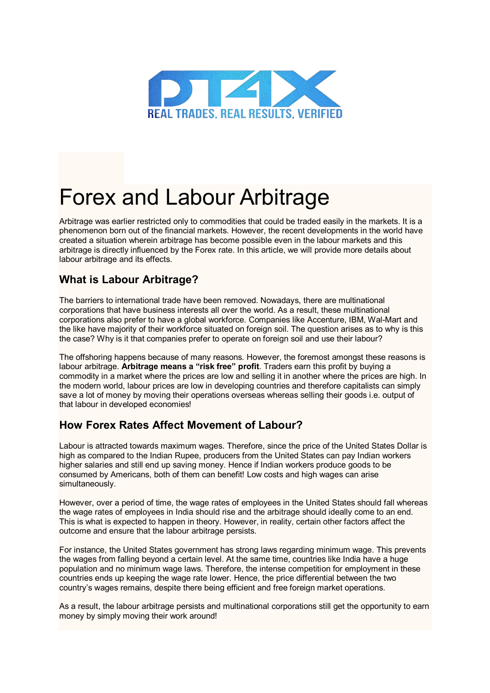

# Forex and Labour Arbitrage

Arbitrage was earlier restricted only to commodities that could be traded easily in the markets. It is a phenomenon born out of the financial markets. However, the recent developments in the world have created a situation wherein arbitrage has become possible even in the labour markets and this arbitrage is directly influenced by the Forex rate. In this article, we will provide more details about labour arbitrage and its effects.

## **What is Labour Arbitrage?**

The barriers to international trade have been removed. Nowadays, there are multinational corporations that have business interests all over the world. As a result, these multinational corporations also prefer to have a global workforce. Companies like Accenture, IBM, Wal-Mart and the like have majority of their workforce situated on foreign soil. The question arises as to why is this the case? Why is it that companies prefer to operate on foreign soil and use their labour?

The offshoring happens because of many reasons. However, the foremost amongst these reasons is labour arbitrage. **Arbitrage means a "risk free" profit**. Traders earn this profit by buying a commodity in a market where the prices are low and selling it in another where the prices are high. In the modern world, labour prices are low in developing countries and therefore capitalists can simply save a lot of money by moving their operations overseas whereas selling their goods i.e. output of that labour in developed economies!

#### **How Forex Rates Affect Movement of Labour?**

Labour is attracted towards maximum wages. Therefore, since the price of the United States Dollar is high as compared to the Indian Rupee, producers from the United States can pay Indian workers higher salaries and still end up saving money. Hence if Indian workers produce goods to be consumed by Americans, both of them can benefit! Low costs and high wages can arise simultaneously.

However, over a period of time, the wage rates of employees in the United States should fall whereas the wage rates of employees in India should rise and the arbitrage should ideally come to an end. This is what is expected to happen in theory. However, in reality, certain other factors affect the outcome and ensure that the labour arbitrage persists.

For instance, the United States government has strong laws regarding minimum wage. This prevents the wages from falling beyond a certain level. At the same time, countries like India have a huge population and no minimum wage laws. Therefore, the intense competition for employment in these countries ends up keeping the wage rate lower. Hence, the price differential between the two country's wages remains, despite there being efficient and free foreign market operations.

As a result, the labour arbitrage persists and multinational corporations still get the opportunity to earn money by simply moving their work around!